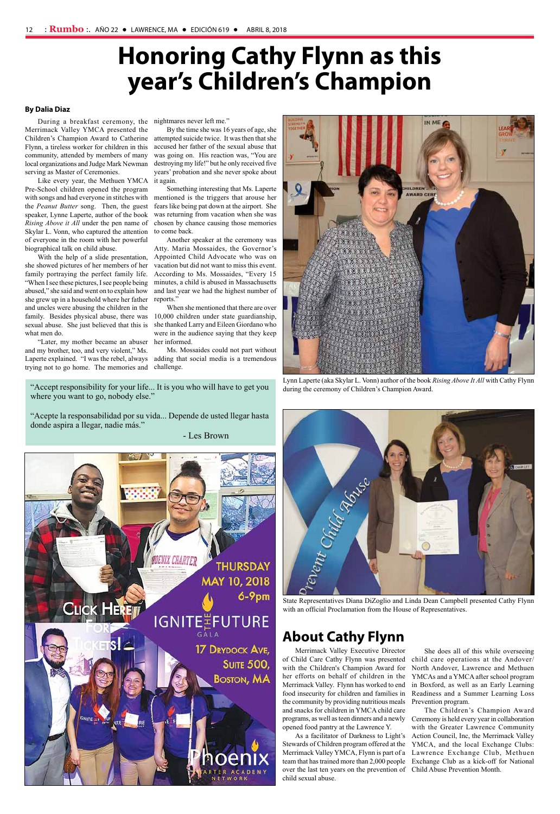### **About Cathy Flynn**

Merrimack Valley Executive Director of Child Care Cathy Flynn was presented with the Children's Champion Award for her efforts on behalf of children in the Merrimack Valley. Flynn has worked to end food insecurity for children and families in the community by providing nutritious meals and snacks for children in YMCA child care programs, as well as teen dinners and a newly opened food pantry at the Lawrence Y.

As a facilitator of Darkness to Light's Stewards of Children program offered at the Merrimack Valley YMCA, Flynn is part of a team that has trained more than 2,000 people over the last ten years on the prevention of Child Abuse Prevention Month. child sexual abuse.

#### **By Dalia Diaz**

During a breakfast ceremony, the nightmares never left me." Merrimack Valley YMCA presented the Children's Champion Award to Catherine Flynn, a tireless worker for children in this community, attended by members of many local organizations and Judge Mark Newman serving as Master of Ceremonies.

Like every year, the Methuen YMCA Pre-School children opened the program with songs and had everyone in stitches with mentioned is the triggers that arouse her the *Peanut Butter* song. Then, the guest speaker, Lynne Laperte, author of the book *Rising Above it All* under the pen name of Skylar L. Vonn, who captured the attention of everyone in the room with her powerful biographical talk on child abuse.

With the help of a slide presentation, she showed pictures of her members of her family portraying the perfect family life. "When I see these pictures, I see people being abused," she said and went on to explain how she grew up in a household where her father and uncles were abusing the children in the family. Besides physical abuse, there was sexual abuse. She just believed that this is what men do.

"Accept responsibility for your life... It is you who will have to get you where you want to go, nobody else."

By the time she was 16 years of age, she attempted suicide twice. It was then that she accused her father of the sexual abuse that was going on. His reaction was, "You are destroying my life!" but he only received five years' probation and she never spoke about it again.

Something interesting that Ms. Laperte fears like being pat down at the airport. She was returning from vacation when she was chosen by chance causing those memories to come back.

"Later, my mother became an abuser her informed. and my brother, too, and very violent," Ms. Laperte explained. "I was the rebel, always adding that social media is a tremendous trying not to go home. The memories and challenge.

Another speaker at the ceremony was Atty. Maria Mossaides, the Governor's Appointed Child Advocate who was on vacation but did not want to miss this event. According to Ms. Mossaides, "Every 15 minutes, a child is abused in Massachusetts and last year we had the highest number of reports."

When she mentioned that there are over 10,000 children under state guardianship, she thanked Larry and Eileen Giordano who were in the audience saying that they keep

Ms. Mossaides could not part without

## **Honoring Cathy Flynn as this year's Children's Champion**

She does all of this while overseeing child care operations at the Andover/ North Andover, Lawrence and Methuen YMCAs and a YMCA after school program in Boxford, as well as an Early Learning Readiness and a Summer Learning Loss Prevention program.

The Children's Champion Award Ceremony is held every year in collaboration with the Greater Lawrence Community Action Council, Inc, the Merrimack Valley YMCA, and the local Exchange Clubs: Lawrence Exchange Club, Methuen Exchange Club as a kick-off for National

Lynn Laperte (aka Skylar L. Vonn) author of the book *Rising Above It All* with Cathy Flynn during the ceremony of Children's Champion Award.



State Representatives Diana DiZoglio and Linda Dean Campbell presented Cathy Flynn with an official Proclamation from the House of Representatives.

"Acepte la responsabilidad por su vida... Depende de usted llegar hasta donde aspira a llegar, nadie más."

- Les Brown